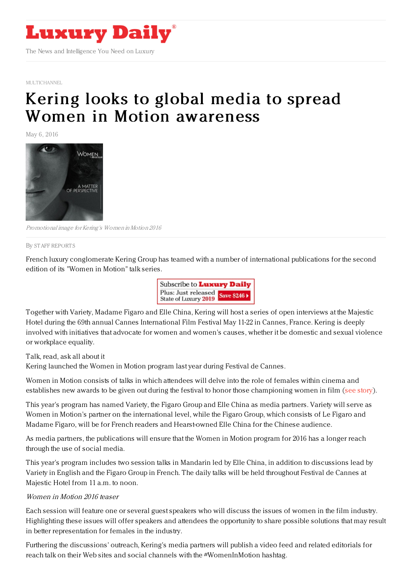

[MULTICHANNEL](https://www.luxurydaily.com/category/news/multichannel/)

## Kering looks to global media to spread Women in Motion [awareness](https://www.luxurydaily.com/kering-looks-to-global-media-to-spread-women-in-motion-awareness/)

May 6, 2016



Promotional image for Kering's Women inMotion 2016

By STAFF [REPORT](file:///author/staff-reports) S

French luxury conglomerate Kering Group has teamed with a number of international publications for the second edition of its "Women in Motion" talk series.



Together with Variety, Madame Figaro and Elle China, Kering will host a series of open interviews at the Majestic Hotel during the 69th annual Cannes International Film Festival May 11-22 in Cannes, France. Kering is deeply involved with initiatives that advocate for women and women's causes, whether it be domestic and sexual violence or workplace equality.

Talk, read, ask all about it

Kering launched the Women in Motion program last year during Festival de Cannes.

Women in Motion consists of talks in which attendees will delve into the role of females within cinema and establishes new awards to be given out during the festival to honor those championing women in film (see [story](https://www.luxurydaily.com/kering-furthers-female-empowerment-with-festival-de-cannes-program/)).

This year's program has named Variety, the Figaro Group and Elle China as media partners. Variety will serve as Women in Motion's partner on the international level, while the Figaro Group, which consists of Le Figaro and Madame Figaro, will be for French readers and Hearst-owned Elle China for the Chinese audience.

As media partners, the publications will ensure that the Women in Motion program for 2016 has a longer reach through the use of social media.

This year's program includes two session talks in Mandarin led by Elle China, in addition to discussions lead by Variety in English and the Figaro Group in French. The daily talks will be held throughout Festival de Cannes at Majestic Hotel from 11 a.m. to noon.

## Women in Motion 2016 teaser

Each session will feature one or several guest speakers who will discuss the issues of women in the film industry. Highlighting these issues will offer speakers and attendees the opportunity to share possible solutions that may result in better representation for females in the industry.

Furthering the discussions' outreach, Kering's media partners will publish a video feed and related editorials for reach talk on their Web sites and social channels with the #WomenInMotion hashtag.